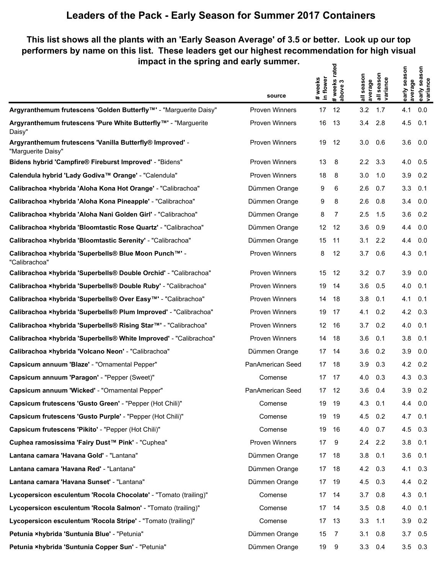## **Leaders of the Pack - Early Season for Summer 2017 Containers**

## **This list shows all the plants with an 'Early Season Average' of 3.5 or better. Look up our top performers by name on this list. These leaders get our highest recommendation for high visual impact in the spring and early summer. # weeks rated**

|                                                                                | source                | # weeks<br>in flower | # weeks rate<br>above 3 | all season<br>average | season<br>all seasor<br>  variance | early season<br>average | early season<br>variance |
|--------------------------------------------------------------------------------|-----------------------|----------------------|-------------------------|-----------------------|------------------------------------|-------------------------|--------------------------|
| Argyranthemum frutescens 'Golden Butterfly™' - "Marguerite Daisy"              | <b>Proven Winners</b> | 17                   | 12                      | 3.2                   | 1.7                                | 4.1                     | 0.0                      |
| Argyranthemum frutescens 'Pure White Butterfly™' - "Marguerite<br>Daisy"       | <b>Proven Winners</b> | 16                   | 13                      | 3.4                   | 2.8                                | 4.5                     | 0.1                      |
| Argyranthemum frutescens 'Vanilla Butterfly® Improved' -<br>"Marguerite Daisy" | <b>Proven Winners</b> | 19                   | 12                      | 3.0                   | 0.6                                | 3.6                     | 0.0                      |
| Bidens hybrid 'Campfire® Fireburst Improved' - "Bidens"                        | <b>Proven Winners</b> | 13                   | 8                       | $2.2\phantom{0}$      | 3.3                                | 4.0                     | 0.5                      |
| Calendula hybrid 'Lady Godiva™ Orange' - "Calendula"                           | <b>Proven Winners</b> | 18                   | 8                       | 3.0                   | 1.0                                | 3.9                     | 0.2                      |
| Calibrachoa xhybrida 'Aloha Kona Hot Orange' - "Calibrachoa"                   | Dümmen Orange         | 9                    | 6                       | 2.6                   | 0.7                                | 3.3                     | 0.1                      |
| Calibrachoa xhybrida 'Aloha Kona Pineapple' - "Calibrachoa"                    | Dümmen Orange         | 9                    | 8                       | 2.6                   | 0.8                                | 3.4                     | 0.0                      |
| Calibrachoa xhybrida 'Aloha Nani Golden Girl' - "Calibrachoa"                  | Dümmen Orange         | 8                    | 7                       | 2.5                   | 1.5                                | 3.6                     | 0.2                      |
| Calibrachoa ×hybrida 'Bloomtastic Rose Quartz' - "Calibrachoa"                 | Dümmen Orange         | 12                   | 12                      | 3.6                   | 0.9                                | 4.4                     | 0.0                      |
| Calibrachoa xhybrida 'Bloomtastic Serenity' - "Calibrachoa"                    | Dümmen Orange         | 15                   | 11                      | 3.1                   | 2.2                                | 4.4                     | 0.0                      |
| Calibrachoa ×hybrida 'Superbells® Blue Moon Punch™' -<br>"Calibrachoa"         | Proven Winners        | 8                    | 12                      | 3.7                   | 0.6                                | 4.3                     | 0.1                      |
| Calibrachoa ×hybrida 'Superbells® Double Orchid' - "Calibrachoa"               | <b>Proven Winners</b> | 15                   | 12                      | 3.2                   | 0.7                                | 3.9                     | 0.0                      |
| Calibrachoa xhybrida 'Superbells® Double Ruby' - "Calibrachoa"                 | <b>Proven Winners</b> | 19                   | 14                      | 3.6                   | 0.5                                | 4.0                     | 0.1                      |
| Calibrachoa ×hybrida 'Superbells® Over Easy <sup>™'</sup> - "Calibrachoa"      | <b>Proven Winners</b> | 14                   | 18                      | 3.8                   | 0.1                                | 4.1                     | 0.1                      |
| Calibrachoa xhybrida 'Superbells® Plum Improved' - "Calibrachoa"               | <b>Proven Winners</b> | 19                   | 17                      | 4.1                   | 0.2                                | 4.2                     | 0.3                      |
| Calibrachoa ×hybrida 'Superbells® Rising Star™' - "Calibrachoa"                | <b>Proven Winners</b> | 12 <sup>12</sup>     | - 16                    | 3.7                   | 0.2                                | 4.0                     | 0.1                      |
| Calibrachoa xhybrida 'Superbells® White Improved' - "Calibrachoa"              | <b>Proven Winners</b> | 14                   | 18                      | 3.6                   | 0.1                                | 3.8                     | 0.1                      |
| Calibrachoa xhybrida 'Volcano Neon' - "Calibrachoa"                            | Dümmen Orange         | 17                   | - 14                    | 3.6                   | 0.2                                | 3.9                     | 0.0                      |
| Capsicum annuum 'Blaze' - "Ornamental Pepper"                                  | PanAmerican Seed      | 17                   | -18                     | 3.9                   | 0.3                                | 4.2                     | 0.2                      |
| Capsicum annuum 'Paragon' - "Pepper (Sweet)"                                   | Comense               | 17                   | 17                      | 4.0                   | 0.3                                | 4.3                     | 0.3                      |
| Capsicum annuum 'Wicked' - "Ornamental Pepper"                                 | PanAmerican Seed      | 17                   | 12                      | 3.6                   | 0.4                                | 3.9                     | 0.2                      |
| Capsicum frutescens 'Gusto Green' - "Pepper (Hot Chili)"                       | Comense               | 19                   | - 19                    | 4.3                   | 0.1                                | $4.4\quad 0.0$          |                          |
| Capsicum frutescens 'Gusto Purple' - "Pepper (Hot Chili)"                      | Comense               | 19                   | -19                     | 4.5                   | 0.2                                | $4.7 \quad 0.1$         |                          |
| Capsicum frutescens 'Pikito' - "Pepper (Hot Chili)"                            | Comense               | 19                   | 16                      | 4.0                   | 0.7                                | 4.5                     | 0.3                      |
| Cuphea ramosissima 'Fairy Dust™ Pink' - "Cuphea"                               | Proven Winners        | 17                   | 9                       | 2.4                   | 2.2                                | $3.8$ 0.1               |                          |
| Lantana camara 'Havana Gold' - "Lantana"                                       | Dümmen Orange         |                      | 17 18                   | 3.8                   | 0.1                                | 3.6                     | 0.1                      |
| Lantana camara 'Havana Red' - "Lantana"                                        | Dümmen Orange         |                      | 17 18                   | $4.2\quad 0.3$        |                                    | 4.1 0.3                 |                          |
| Lantana camara 'Havana Sunset' - "Lantana"                                     | Dümmen Orange         |                      | 17 19                   | 4.5                   | 0.3                                | 4.4 0.2                 |                          |
| Lycopersicon esculentum 'Rocola Chocolate' - "Tomato (trailing)"               | Comense               |                      | 17 14                   | 3.7                   | 0.8                                | 4.3 0.1                 |                          |
| Lycopersicon esculentum 'Rocola Salmon' - "Tomato (trailing)"                  | Comense               |                      | 17 14                   | 3.5                   | 0.8                                | 4.0                     | 0.1                      |
| Lycopersicon esculentum 'Rocola Stripe' - "Tomato (trailing)"                  | Comense               |                      | 17 13                   | 3.3                   | 1.1                                | $3.9$ 0.2               |                          |
| Petunia ×hybrida 'Suntunia Blue' - "Petunia"                                   | Dümmen Orange         | 15                   | $\overline{7}$          | 3.1                   | 0.8                                | 3.7                     | 0.5                      |
| Petunia xhybrida 'Suntunia Copper Sun' - "Petunia"                             | Dümmen Orange         | 19                   | - 9                     | $3.3\quad 0.4$        |                                    | $3.5\quad 0.3$          |                          |